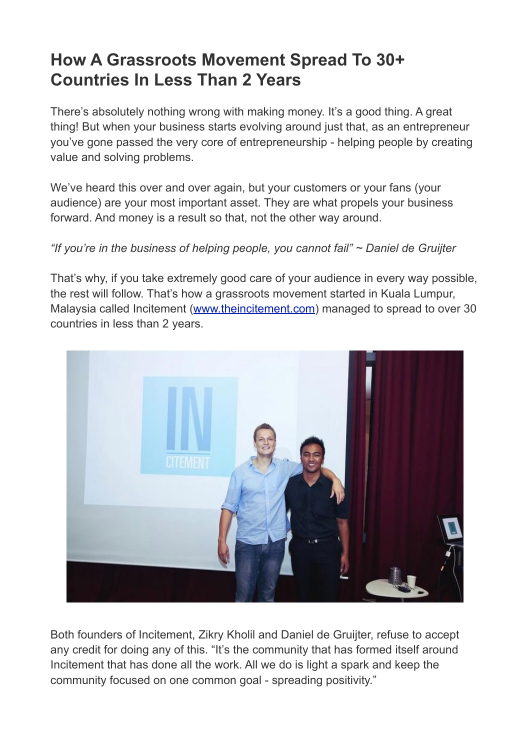# **How A Grassroots Movement Spread To 30+ Countries In Less Than 2 Years**

There's absolutely nothing wrong with making money. It's a good thing. A great thing! But when your business starts evolving around just that, as an entrepreneur you've gone passed the very core of entrepreneurship - helping people by creating value and solving problems.

We've heard this over and over again, but your customers or your fans (your audience) are your most important asset. They are what propels your business forward. And money is a result so that, not the other way around.

# *"If you're in the business of helping people, you cannot fail" ~ Daniel de Gruijter*

That's why, if you take extremely good care of your audience in every way possible, the rest will follow. That's how a grassroots movement started in Kuala Lumpur, Malaysia called Incitement [\(www.theincitement.com\)](http://www.theincitement.com) managed to spread to over 30 countries in less than 2 years.



Both founders of Incitement, Zikry Kholil and Daniel de Gruijter, refuse to accept any credit for doing any of this. "It's the community that has formed itself around Incitement that has done all the work. All we do is light a spark and keep the community focused on one common goal - spreading positivity."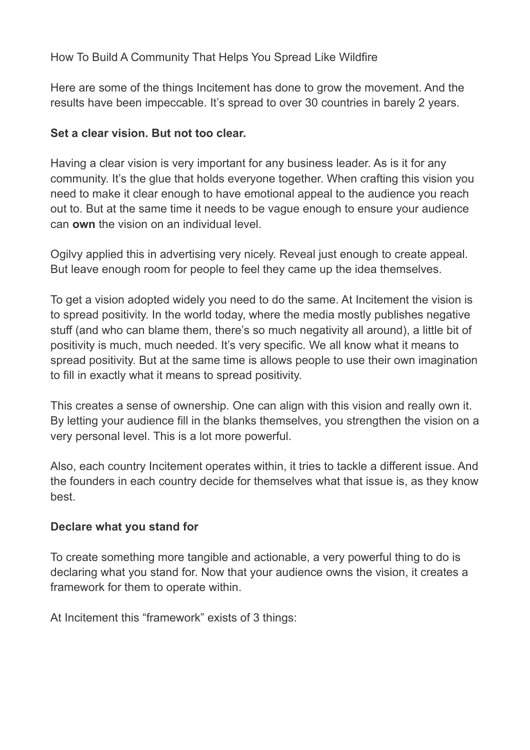# How To Build A Community That Helps You Spread Like Wildfire

Here are some of the things Incitement has done to grow the movement. And the results have been impeccable. It's spread to over 30 countries in barely 2 years.

#### **Set a clear vision. But not too clear.**

Having a clear vision is very important for any business leader. As is it for any community. It's the glue that holds everyone together. When crafting this vision you need to make it clear enough to have emotional appeal to the audience you reach out to. But at the same time it needs to be vague enough to ensure your audience can **own** the vision on an individual level.

Ogilvy applied this in advertising very nicely. Reveal just enough to create appeal. But leave enough room for people to feel they came up the idea themselves.

To get a vision adopted widely you need to do the same. At Incitement the vision is to spread positivity. In the world today, where the media mostly publishes negative stuff (and who can blame them, there's so much negativity all around), a little bit of positivity is much, much needed. It's very specific. We all know what it means to spread positivity. But at the same time is allows people to use their own imagination to fill in exactly what it means to spread positivity.

This creates a sense of ownership. One can align with this vision and really own it. By letting your audience fill in the blanks themselves, you strengthen the vision on a very personal level. This is a lot more powerful.

Also, each country Incitement operates within, it tries to tackle a different issue. And the founders in each country decide for themselves what that issue is, as they know best.

# **Declare what you stand for**

To create something more tangible and actionable, a very powerful thing to do is declaring what you stand for. Now that your audience owns the vision, it creates a framework for them to operate within.

At Incitement this "framework" exists of 3 things: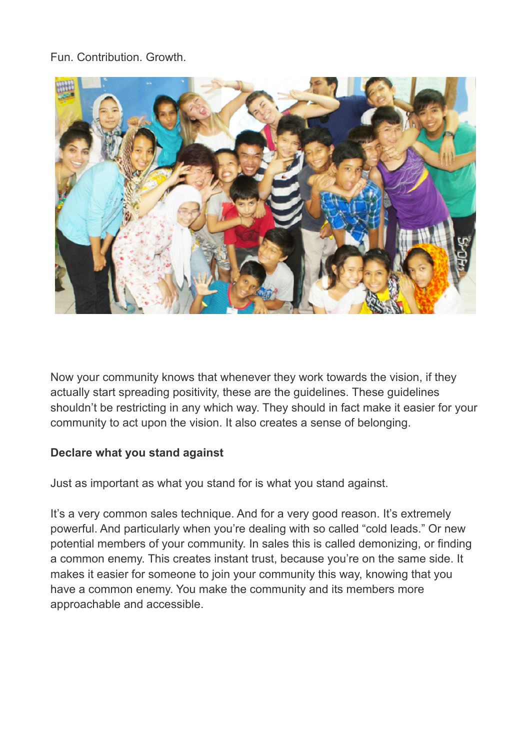# Fun. Contribution. Growth.



Now your community knows that whenever they work towards the vision, if they actually start spreading positivity, these are the guidelines. These guidelines shouldn't be restricting in any which way. They should in fact make it easier for your community to act upon the vision. It also creates a sense of belonging.

#### **Declare what you stand against**

Just as important as what you stand for is what you stand against.

It's a very common sales technique. And for a very good reason. It's extremely powerful. And particularly when you're dealing with so called "cold leads." Or new potential members of your community. In sales this is called demonizing, or finding a common enemy. This creates instant trust, because you're on the same side. It makes it easier for someone to join your community this way, knowing that you have a common enemy. You make the community and its members more approachable and accessible.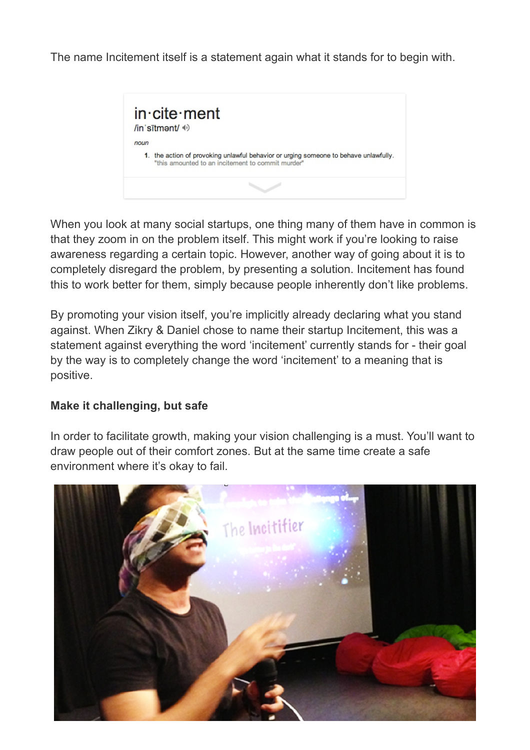The name Incitement itself is a statement again what it stands for to begin with.



When you look at many social startups, one thing many of them have in common is that they zoom in on the problem itself. This might work if you're looking to raise awareness regarding a certain topic. However, another way of going about it is to completely disregard the problem, by presenting a solution. Incitement has found this to work better for them, simply because people inherently don't like problems.

By promoting your vision itself, you're implicitly already declaring what you stand against. When Zikry & Daniel chose to name their startup Incitement, this was a statement against everything the word 'incitement' currently stands for - their goal by the way is to completely change the word 'incitement' to a meaning that is positive.

#### **Make it challenging, but safe**

In order to facilitate growth, making your vision challenging is a must. You'll want to draw people out of their comfort zones. But at the same time create a safe environment where it's okay to fail.

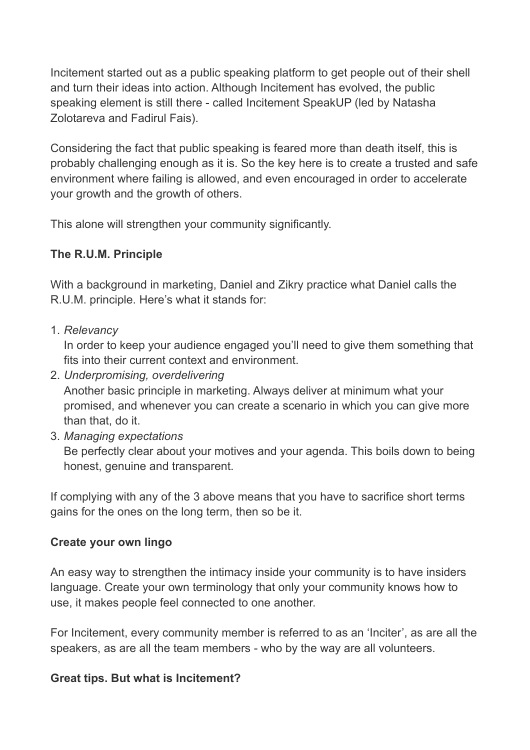Incitement started out as a public speaking platform to get people out of their shell and turn their ideas into action. Although Incitement has evolved, the public speaking element is still there - called Incitement SpeakUP (led by Natasha Zolotareva and Fadirul Fais).

Considering the fact that public speaking is feared more than death itself, this is probably challenging enough as it is. So the key here is to create a trusted and safe environment where failing is allowed, and even encouraged in order to accelerate your growth and the growth of others.

This alone will strengthen your community significantly.

# **The R.U.M. Principle**

With a background in marketing, Daniel and Zikry practice what Daniel calls the R.U.M. principle. Here's what it stands for:

1. *Relevancy*

In order to keep your audience engaged you'll need to give them something that fits into their current context and environment.

- 2. *Underpromising, overdelivering* Another basic principle in marketing. Always deliver at minimum what your promised, and whenever you can create a scenario in which you can give more than that, do it.
- 3. *Managing expectations*

Be perfectly clear about your motives and your agenda. This boils down to being honest, genuine and transparent.

If complying with any of the 3 above means that you have to sacrifice short terms gains for the ones on the long term, then so be it.

# **Create your own lingo**

An easy way to strengthen the intimacy inside your community is to have insiders language. Create your own terminology that only your community knows how to use, it makes people feel connected to one another.

For Incitement, every community member is referred to as an 'Inciter', as are all the speakers, as are all the team members - who by the way are all volunteers.

# **Great tips. But what is Incitement?**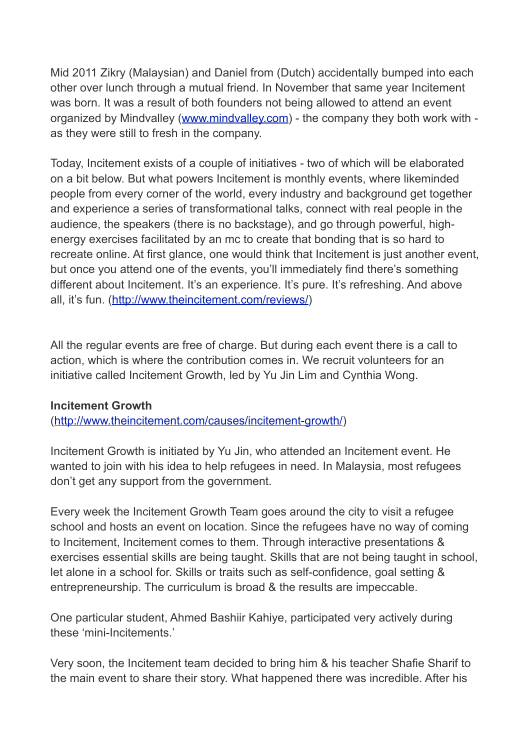Mid 2011 Zikry (Malaysian) and Daniel from (Dutch) accidentally bumped into each other over lunch through a mutual friend. In November that same year Incitement was born. It was a result of both founders not being allowed to attend an event organized by Mindvalley [\(www.mindvalley.com\)](http://www.mindvalley.com) - the company they both work with as they were still to fresh in the company.

Today, Incitement exists of a couple of initiatives - two of which will be elaborated on a bit below. But what powers Incitement is monthly events, where likeminded people from every corner of the world, every industry and background get together and experience a series of transformational talks, connect with real people in the audience, the speakers (there is no backstage), and go through powerful, highenergy exercises facilitated by an mc to create that bonding that is so hard to recreate online. At first glance, one would think that Incitement is just another event, but once you attend one of the events, you'll immediately find there's something different about Incitement. It's an experience. It's pure. It's refreshing. And above all, it's fun. (<http://www.theincitement.com/reviews/>)

All the regular events are free of charge. But during each event there is a call to action, which is where the contribution comes in. We recruit volunteers for an initiative called Incitement Growth, led by Yu Jin Lim and Cynthia Wong.

#### **Incitement Growth**

[\(http://www.theincitement.com/causes/incitement-growth/\)](http://www.theincitement.com/causes/incitement-growth/)

Incitement Growth is initiated by Yu Jin, who attended an Incitement event. He wanted to join with his idea to help refugees in need. In Malaysia, most refugees don't get any support from the government.

Every week the Incitement Growth Team goes around the city to visit a refugee school and hosts an event on location. Since the refugees have no way of coming to Incitement, Incitement comes to them. Through interactive presentations & exercises essential skills are being taught. Skills that are not being taught in school, let alone in a school for. Skills or traits such as self-confidence, goal setting & entrepreneurship. The curriculum is broad & the results are impeccable.

One particular student, Ahmed Bashiir Kahiye, participated very actively during these 'mini-Incitements.'

Very soon, the Incitement team decided to bring him & his teacher Shafie Sharif to the main event to share their story. What happened there was incredible. After his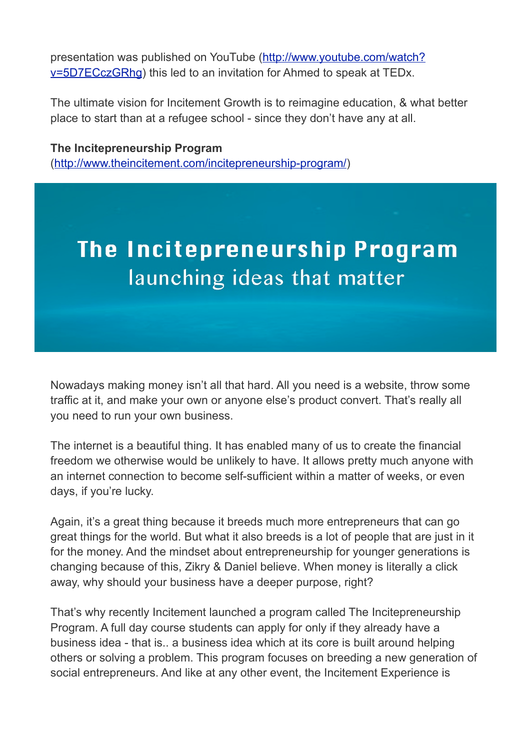presentation was published on YouTube ([http://www.youtube.com/watch?](http://www.youtube.com/watch?v=5D7ECczGRhg) [v=5D7ECczGRhg\)](http://www.youtube.com/watch?v=5D7ECczGRhg) this led to an invitation for Ahmed to speak at TEDx.

The ultimate vision for Incitement Growth is to reimagine education, & what better place to start than at a refugee school - since they don't have any at all.

**The Incitepreneurship Program** [\(http://www.theincitement.com/incitepreneurship-program/](http://www.theincitement.com/incitepreneurship-program/))

# The Incitepreneurship Program launching ideas that matter

Nowadays making money isn't all that hard. All you need is a website, throw some traffic at it, and make your own or anyone else's product convert. That's really all you need to run your own business.

The internet is a beautiful thing. It has enabled many of us to create the financial freedom we otherwise would be unlikely to have. It allows pretty much anyone with an internet connection to become self-sufficient within a matter of weeks, or even days, if you're lucky.

Again, it's a great thing because it breeds much more entrepreneurs that can go great things for the world. But what it also breeds is a lot of people that are just in it for the money. And the mindset about entrepreneurship for younger generations is changing because of this, Zikry & Daniel believe. When money is literally a click away, why should your business have a deeper purpose, right?

That's why recently Incitement launched a program called The Incitepreneurship Program. A full day course students can apply for only if they already have a business idea - that is.. a business idea which at its core is built around helping others or solving a problem. This program focuses on breeding a new generation of social entrepreneurs. And like at any other event, the Incitement Experience is